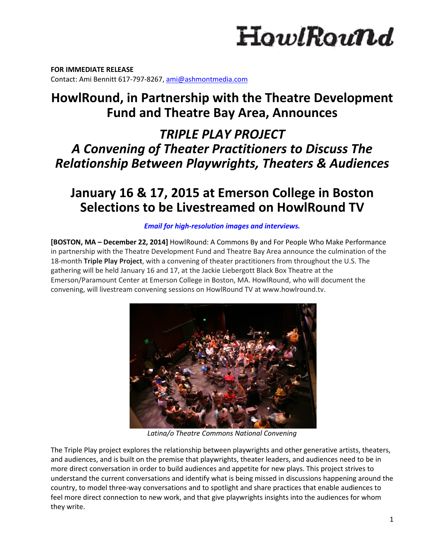# HowlRound

**FOR IMMEDIATE RELEASE**  Contact: Ami Bennitt 617‐797‐8267, ami@ashmontmedia.com

# **HowlRound, in Partnership with the Theatre Development Fund and Theatre Bay Area, Announces**

*TRIPLE PLAY PROJECT A Convening of Theater Practitioners to Discuss The Relationship Between Playwrights, Theaters & Audiences* 

# **January 16 & 17, 2015 at Emerson College in Boston Selections to be Livestreamed on HowlRound TV**

# *Email for high-resolution images and interviews.*

**[BOSTON, MA – December 22, 2014]** HowlRound: A Commons By and For People Who Make Performance in partnership with the Theatre Development Fund and Theatre Bay Area announce the culmination of the 18‐month **Triple Play Project**, with a convening of theater practitioners from throughout the U.S. The gathering will be held January 16 and 17, at the Jackie Liebergott Black Box Theatre at the Emerson/Paramount Center at Emerson College in Boston, MA. HowlRound, who will document the convening, will livestream convening sessions on HowlRound TV at www.howlround.tv.



 *Latina/o Theatre Commons National Convening* 

The Triple Play project explores the relationship between playwrights and other generative artists, theaters, and audiences, and is built on the premise that playwrights, theater leaders, and audiences need to be in more direct conversation in order to build audiences and appetite for new plays. This project strives to understand the current conversations and identify what is being missed in discussions happening around the country, to model three‐way conversations and to spotlight and share practices that enable audiences to feel more direct connection to new work, and that give playwrights insights into the audiences for whom they write.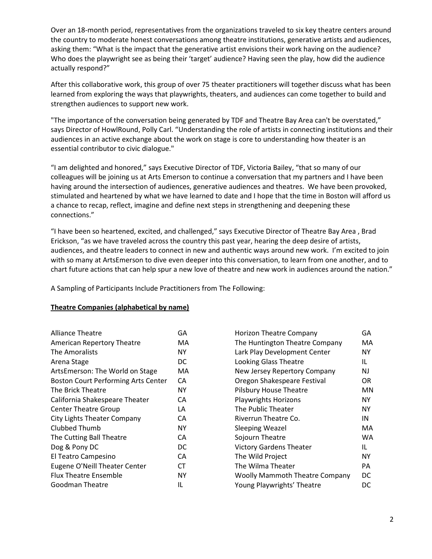Over an 18‐month period, representatives from the organizations traveled to six key theatre centers around the country to moderate honest conversations among theatre institutions, generative artists and audiences, asking them: "What is the impact that the generative artist envisions their work having on the audience? Who does the playwright see as being their 'target' audience? Having seen the play, how did the audience actually respond?"

After this collaborative work, this group of over 75 theater practitioners will together discuss what has been learned from exploring the ways that playwrights, theaters, and audiences can come together to build and strengthen audiences to support new work.

"The importance of the conversation being generated by TDF and Theatre Bay Area can't be overstated," says Director of HowlRound, Polly Carl. "Understanding the role of artists in connecting institutions and their audiences in an active exchange about the work on stage is core to understanding how theater is an essential contributor to civic dialogue."

"I am delighted and honored," says Executive Director of TDF, Victoria Bailey, "that so many of our colleagues will be joining us at Arts Emerson to continue a conversation that my partners and I have been having around the intersection of audiences, generative audiences and theatres. We have been provoked, stimulated and heartened by what we have learned to date and I hope that the time in Boston will afford us a chance to recap, reflect, imagine and define next steps in strengthening and deepening these connections."

"I have been so heartened, excited, and challenged," says Executive Director of Theatre Bay Area , Brad Erickson, "as we have traveled across the country this past year, hearing the deep desire of artists, audiences, and theatre leaders to connect in new and authentic ways around new work. I'm excited to join with so many at ArtsEmerson to dive even deeper into this conversation, to learn from one another, and to chart future actions that can help spur a new love of theatre and new work in audiences around the nation."

A Sampling of Participants Include Practitioners from The Following:

#### **Theatre Companies (alphabetical by name)**

| Alliance Theatre                           | GA |
|--------------------------------------------|----|
| <b>American Repertory Theatre</b>          | МA |
| The Amoralists                             | NΥ |
| Arena Stage                                | DC |
| ArtsEmerson: The World on Stage            | MA |
| <b>Boston Court Performing Arts Center</b> | CА |
| The Brick Theatre                          | NΥ |
| California Shakespeare Theater             | CА |
| <b>Center Theatre Group</b>                | LA |
| City Lights Theater Company                | СA |
| Clubbed Thumb                              | NΥ |
| The Cutting Ball Theatre                   | CA |
| Dog & Pony DC                              | DC |
| El Teatro Campesino                        | CА |
| <b>Eugene O'Neill Theater Center</b>       | СT |
| <b>Flux Theatre Ensemble</b>               | NΥ |
| Goodman Theatre                            | IL |

| Horizon Theatre Company               | GA |
|---------------------------------------|----|
| The Huntington Theatre Company        | MA |
| Lark Play Development Center          | NΥ |
| <b>Looking Glass Theatre</b>          | IL |
| New Jersey Repertory Company          | NJ |
| Oregon Shakespeare Festival           | OR |
| <b>Pilsbury House Theatre</b>         | ΜN |
| <b>Playwrights Horizons</b>           | NΥ |
| The Public Theater                    | NY |
| Riverrun Theatre Co.                  | ΙN |
| <b>Sleeping Weazel</b>                | МA |
| Sojourn Theatre                       | WA |
| <b>Victory Gardens Theater</b>        | IL |
| The Wild Project                      | ΝY |
| The Wilma Theater                     | PА |
| <b>Woolly Mammoth Theatre Company</b> | DC |
| Young Playwrights' Theatre            | DC |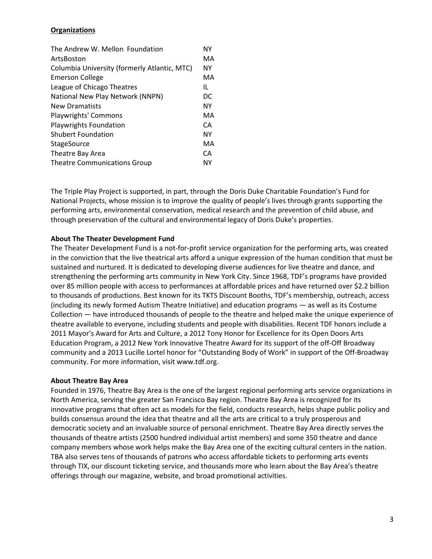# **Organizations**

| The Andrew W. Mellon Foundation              | NΥ |
|----------------------------------------------|----|
| ArtsBoston                                   | MA |
| Columbia University (formerly Atlantic, MTC) | NΥ |
| <b>Emerson College</b>                       | MA |
| League of Chicago Theatres                   | IL |
| National New Play Network (NNPN)             | DC |
| <b>New Dramatists</b>                        | ΝY |
| Playwrights' Commons                         | MA |
| <b>Playwrights Foundation</b>                | CА |
| <b>Shubert Foundation</b>                    | NΥ |
| <b>StageSource</b>                           | MA |
| Theatre Bay Area                             | CА |
| <b>Theatre Communications Group</b>          | NΥ |

The Triple Play Project is supported, in part, through the Doris Duke Charitable Foundation's Fund for National Projects, whose mission is to improve the quality of people's lives through grants supporting the performing arts, environmental conservation, medical research and the prevention of child abuse, and through preservation of the cultural and environmental legacy of Doris Duke's properties.

# **About The Theater Development Fund**

The Theater Development Fund is a not-for-profit service organization for the performing arts, was created in the conviction that the live theatrical arts afford a unique expression of the human condition that must be sustained and nurtured. It is dedicated to developing diverse audiences for live theatre and dance, and strengthening the performing arts community in New York City. Since 1968, TDF's programs have provided over 85 million people with access to performances at affordable prices and have returned over \$2.2 billion to thousands of productions. Best known for its TKTS Discount Booths, TDF's membership, outreach, access (including its newly formed Autism Theatre Initiative) and education programs — as well as its Costume Collection — have introduced thousands of people to the theatre and helped make the unique experience of theatre available to everyone, including students and people with disabilities. Recent TDF honors include a 2011 Mayor's Award for Arts and Culture, a 2012 Tony Honor for Excellence for its Open Doors Arts Education Program, a 2012 New York Innovative Theatre Award for its support of the off‐Off Broadway community and a 2013 Lucille Lortel honor for "Outstanding Body of Work" in support of the Off‐Broadway community. For more information, visit www.tdf.org.

#### **About Theatre Bay Area**

Founded in 1976, Theatre Bay Area is the one of the largest regional performing arts service organizations in North America, serving the greater San Francisco Bay region. Theatre Bay Area is recognized for its innovative programs that often act as models for the field, conducts research, helps shape public policy and builds consensus around the idea that theatre and all the arts are critical to a truly prosperous and democratic society and an invaluable source of personal enrichment. Theatre Bay Area directly serves the thousands of theatre artists (2500 hundred individual artist members) and some 350 theatre and dance company members whose work helps make the Bay Area one of the exciting cultural centers in the nation. TBA also serves tens of thousands of patrons who access affordable tickets to performing arts events through TIX, our discount ticketing service, and thousands more who learn about the Bay Area's theatre offerings through our magazine, website, and broad promotional activities.